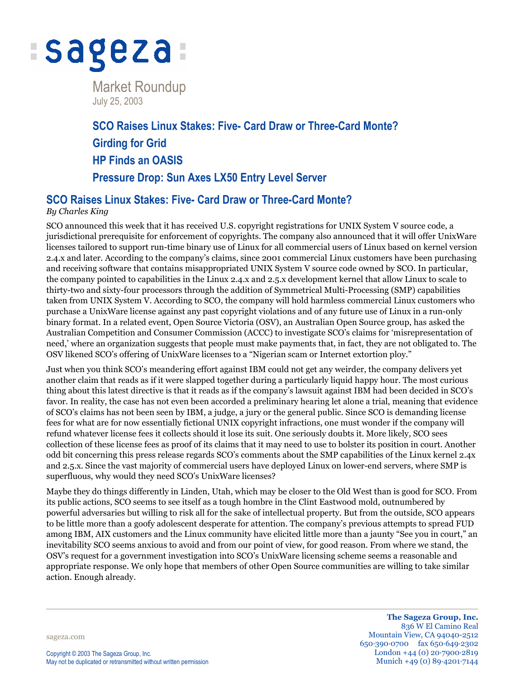

July 25, 2003

# **SCO Raises Linux Stakes: Five- Card Draw or Three-Card Monte? Girding for Grid HP Finds an OASIS Pressure Drop: Sun Axes LX50 Entry Level Server**

## **SCO Raises Linux Stakes: Five- Card Draw or Three-Card Monte?**

### *By Charles King*

SCO announced this week that it has received U.S. copyright registrations for UNIX System V source code, a jurisdictional prerequisite for enforcement of copyrights. The company also announced that it will offer UnixWare licenses tailored to support run-time binary use of Linux for all commercial users of Linux based on kernel version 2.4.x and later. According to the company's claims, since 2001 commercial Linux customers have been purchasing and receiving software that contains misappropriated UNIX System V source code owned by SCO. In particular, the company pointed to capabilities in the Linux 2.4.x and 2.5.x development kernel that allow Linux to scale to thirty-two and sixty-four processors through the addition of Symmetrical Multi-Processing (SMP) capabilities taken from UNIX System V. According to SCO, the company will hold harmless commercial Linux customers who purchase a UnixWare license against any past copyright violations and of any future use of Linux in a run-only binary format. In a related event, Open Source Victoria (OSV), an Australian Open Source group, has asked the Australian Competition and Consumer Commission (ACCC) to investigate SCO's claims for 'misrepresentation of need,' where an organization suggests that people must make payments that, in fact, they are not obligated to. The OSV likened SCO's offering of UnixWare licenses to a "Nigerian scam or Internet extortion ploy."

Just when you think SCO's meandering effort against IBM could not get any weirder, the company delivers yet another claim that reads as if it were slapped together during a particularly liquid happy hour. The most curious thing about this latest directive is that it reads as if the company's lawsuit against IBM had been decided in SCO's favor. In reality, the case has not even been accorded a preliminary hearing let alone a trial, meaning that evidence of SCO's claims has not been seen by IBM, a judge, a jury or the general public. Since SCO is demanding license fees for what are for now essentially fictional UNIX copyright infractions, one must wonder if the company will refund whatever license fees it collects should it lose its suit. One seriously doubts it. More likely, SCO sees collection of these license fees as proof of its claims that it may need to use to bolster its position in court. Another odd bit concerning this press release regards SCO's comments about the SMP capabilities of the Linux kernel 2.4x and 2.5.x. Since the vast majority of commercial users have deployed Linux on lower-end servers, where SMP is superfluous, why would they need SCO's UnixWare licenses?

Maybe they do things differently in Linden, Utah, which may be closer to the Old West than is good for SCO. From its public actions, SCO seems to see itself as a tough hombre in the Clint Eastwood mold, outnumbered by powerful adversaries but willing to risk all for the sake of intellectual property. But from the outside, SCO appears to be little more than a goofy adolescent desperate for attention. The company's previous attempts to spread FUD among IBM, AIX customers and the Linux community have elicited little more than a jaunty "See you in court," an inevitability SCO seems anxious to avoid and from our point of view, for good reason. From where we stand, the OSV's request for a government investigation into SCO's UnixWare licensing scheme seems a reasonable and appropriate response. We only hope that members of other Open Source communities are willing to take similar action. Enough already.

sageza.com

**The Sageza Group, Inc.** 836 W El Camino Real Mountain View, CA 94040-2512 650·390·0700 fax 650·649·2302 London +44 (0) 20·7900·2819 Munich +49 (0) 89·4201·7144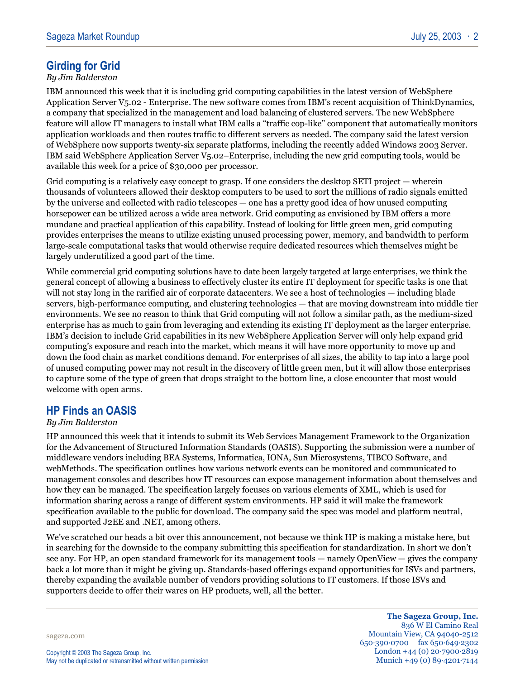# **Girding for Grid**

#### *By Jim Balderston*

IBM announced this week that it is including grid computing capabilities in the latest version of WebSphere Application Server V5.02 - Enterprise. The new software comes from IBM's recent acquisition of ThinkDynamics, a company that specialized in the management and load balancing of clustered servers. The new WebSphere feature will allow IT managers to install what IBM calls a "traffic cop-like" component that automatically monitors application workloads and then routes traffic to different servers as needed. The company said the latest version of WebSphere now supports twenty-six separate platforms, including the recently added Windows 2003 Server. IBM said WebSphere Application Server V5.02–Enterprise, including the new grid computing tools, would be available this week for a price of \$30,000 per processor.

Grid computing is a relatively easy concept to grasp. If one considers the desktop SETI project — wherein thousands of volunteers allowed their desktop computers to be used to sort the millions of radio signals emitted by the universe and collected with radio telescopes — one has a pretty good idea of how unused computing horsepower can be utilized across a wide area network. Grid computing as envisioned by IBM offers a more mundane and practical application of this capability. Instead of looking for little green men, grid computing provides enterprises the means to utilize existing unused processing power, memory, and bandwidth to perform large-scale computational tasks that would otherwise require dedicated resources which themselves might be largely underutilized a good part of the time.

While commercial grid computing solutions have to date been largely targeted at large enterprises, we think the general concept of allowing a business to effectively cluster its entire IT deployment for specific tasks is one that will not stay long in the rarified air of corporate datacenters. We see a host of technologies — including blade servers, high-performance computing, and clustering technologies — that are moving downstream into middle tier environments. We see no reason to think that Grid computing will not follow a similar path, as the medium-sized enterprise has as much to gain from leveraging and extending its existing IT deployment as the larger enterprise. IBM's decision to include Grid capabilities in its new WebSphere Application Server will only help expand grid computing's exposure and reach into the market, which means it will have more opportunity to move up and down the food chain as market conditions demand. For enterprises of all sizes, the ability to tap into a large pool of unused computing power may not result in the discovery of little green men, but it will allow those enterprises to capture some of the type of green that drops straight to the bottom line, a close encounter that most would welcome with open arms.

## **HP Finds an OASIS**

#### *By Jim Balderston*

HP announced this week that it intends to submit its Web Services Management Framework to the Organization for the Advancement of Structured Information Standards (OASIS). Supporting the submission were a number of middleware vendors including BEA Systems, Informatica, IONA, Sun Microsystems, TIBCO Software, and webMethods. The specification outlines how various network events can be monitored and communicated to management consoles and describes how IT resources can expose management information about themselves and how they can be managed. The specification largely focuses on various elements of XML, which is used for information sharing across a range of different system environments. HP said it will make the framework specification available to the public for download. The company said the spec was model and platform neutral, and supported J2EE and .NET, among others.

We've scratched our heads a bit over this announcement, not because we think HP is making a mistake here, but in searching for the downside to the company submitting this specification for standardization. In short we don't see any. For HP, an open standard framework for its management tools — namely OpenView — gives the company back a lot more than it might be giving up. Standards-based offerings expand opportunities for ISVs and partners, thereby expanding the available number of vendors providing solutions to IT customers. If those ISVs and supporters decide to offer their wares on HP products, well, all the better.

sageza.com

**The Sageza Group, Inc.** 836 W El Camino Real Mountain View, CA 94040-2512 650·390·0700 fax 650·649·2302 London +44 (0) 20·7900·2819 Munich +49 (0) 89·4201·7144